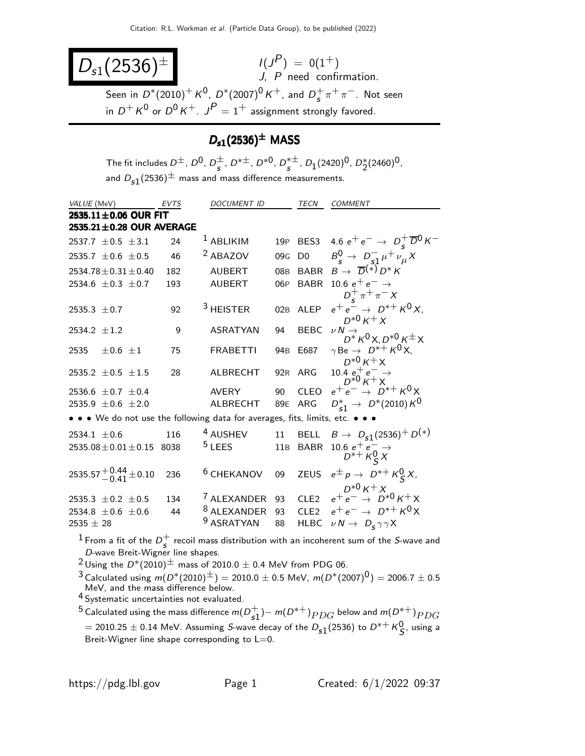| $D_{s1}(2536)^{\pm}$ | $I(J^{P}) = 0(1^{+})$<br>$J$ , $P$ need confirmation.                                                                                                      |
|----------------------|------------------------------------------------------------------------------------------------------------------------------------------------------------|
|                      | Seen in $D^*(2010)^+ K^0$ , $D^*(2007)^0 K^+$ , and $D_s^+ \pi^+ \pi^-$ . Not seen<br>in $D^+ K^0$ or $D^0 K^+$ . $J^P = 1^+$ assignment strongly favored. |

#### $D_{s1}(2536)^{\pm}$  MASS

The fit includes  $D^{\pm}$ ,  $D^{0}$ ,  $D^{\pm}$  $\frac{\pm}{s}$ , D<sup>\* $\pm$ </sup>, D<sup>\*0</sup>, D<sup>\* $\pm$ </sup>  $_s^{*\pm}$ ,  $D_1(2420)^0$ ,  $D_2^*(2460)^0$ , and  $D_{s1}(2536)^{\pm}$  mass and mass difference measurements.

| VALUE (MeV)                                                                   | EVTS | DOCUMENT ID            |                 | TECN           | <b>COMMENT</b>                                                      |
|-------------------------------------------------------------------------------|------|------------------------|-----------------|----------------|---------------------------------------------------------------------|
| 2535.11±0.06 OUR FIT                                                          |      |                        |                 |                |                                                                     |
| 2535.21±0.28 OUR AVERAGE                                                      |      |                        |                 |                |                                                                     |
| 2537.7 $\pm$ 0.5 $\pm$ 3.1                                                    | 24   | <sup>1</sup> ABLIKIM   | 19P             |                | BES3 4.6 $e^+e^- \to D_s^+ \overline{D}^0 K^-$                      |
| 2535.7 $\pm$ 0.6 $\pm$ 0.5                                                    | 46   | <sup>2</sup> ABAZOV    | 09 <sub>G</sub> | D <sub>0</sub> | $B_s^0 \to D_{s1}^- \mu^+ \nu_\mu X$                                |
| 2534.78 $\pm$ 0.31 $\pm$ 0.40                                                 | 182  | <b>AUBERT</b>          | 08 <sub>B</sub> |                | BABR $B \to \overline{D}^{(*)} D^* K$                               |
| 2534.6 $\pm$ 0.3 $\pm$ 0.7                                                    | 193  | <b>AUBERT</b>          | 06P             |                | BABR 10.6 $e^+e^- \rightarrow$<br>$D_{\rm s}^{+} \pi^{+} \pi^{-} X$ |
| 2535.3 $\pm$ 0.7                                                              | 92   | <sup>3</sup> HEISTER   | 02B             | ALEP           | $e^+e^- \to D^{*+}K^0X$ .<br>$D^{*0} K^+ X$                         |
| 2534.2 $\pm 1.2$                                                              | 9    | <b>ASRATYAN</b>        | 94              | <b>BEBC</b>    | $\nu\,N\rightarrow$<br>$D^* K^0 X, D^{*0} K^{\pm} X$                |
| 2535<br>$\pm 0.6 \pm 1$                                                       | 75   | <b>FRABETTI</b>        | 94 <sub>B</sub> | E687           | $\gamma$ Be $\rightarrow D^{*+}K^0X$ ,<br>$D^{*0} K^+ X$            |
| 2535.2 $\pm$ 0.5 $\pm$ 1.5                                                    | 28   | ALBRECHT               | 92R             | ARG            | 10.4 $e^+e^- \rightarrow D^{*0}K^+X$                                |
| 2536.6 $\pm$ 0.7 $\pm$ 0.4                                                    |      | AVERY                  | 90              | CLEO           | $e^+e^- \rightarrow D^{*+}K^0X$                                     |
| 2535.9 $\pm$ 0.6 $\pm$ 2.0                                                    |      | ALBRECHT               | 89E             | ARG            | $D_{s1}^* \rightarrow D^*(2010) K^0$                                |
| • • • We do not use the following data for averages, fits, limits, etc. • • • |      |                        |                 |                |                                                                     |
| 2534.1 $\pm$ 0.6                                                              | 116  | <sup>4</sup> AUSHEV    | 11              |                | BELL $B \to D_{s1}(2536)^+ D^{(*)}$                                 |
| $2535.08 \pm 0.01 \pm 0.15$ 8038                                              |      | $5$ LEES               | 11B             | <b>BABR</b>    | 10.6 $e^+e^- \rightarrow$<br>$D^{*+}$ $K^0_S X$                     |
| 2535.57 $^{+0.44}_{-0.41}$ ± 0.10                                             | 236  | <sup>6</sup> CHEKANOV  | 09              |                | ZEUS $e^{\pm} p \rightarrow D^{*+} K^0_S X$ ,                       |
| 2535.3 $\pm$ 0.2 $\pm$ 0.5                                                    | 134  | <sup>7</sup> ALEXANDER | 93              |                | CLE2 $e^+e^- \rightarrow D^{*0}K^+X$                                |
| 2534.8 $\pm$ 0.6 $\pm$ 0.6                                                    | 44   | <sup>8</sup> ALEXANDER | 93              |                | CLE2 $e^+e^- \rightarrow D^{*+}K^0X$                                |
| $2535 \pm 28$                                                                 |      | <sup>9</sup> ASRATYAN  | 88              | <b>HLBC</b>    | $\nu N \rightarrow D_s \gamma \gamma X$                             |
|                                                                               |      |                        |                 |                |                                                                     |

 $^1$  From a fit of the  $D_c^+$  $^+_s$  recoil mass distribution with an incoherent sum of the S-wave and<br>s D-wave Breit-Wigner line shapes.

<sup>2</sup> Using the  $D^*(2010)^{\pm}$  mass of 2010.0  $\pm$  0.4 MeV from PDG 06.

3 Calculated using  $m(D^*(2010)^{\pm}) = 2010.0 \pm 0.5$  MeV,  $m(D^*(2007)^0) = 2006.7 \pm 0.5$ MeV, and the mass difference below.

4 Systematic uncertainties not evaluated.

 $^5$  Calculated using the mass difference  $m(D_{c1}^+)$  $_{\mathsf{s1}}^+$ ) $-$  m( $D^{*+}$ ) $_{PDG}$  below and m( $D^{*+}$ ) $_{PDG}$  $= 2010.25 \pm 0.14$  MeV. Assuming S-wave decay of the  $D_{s1}(2536)$  to  $D^{*+}K_S^0$ , using a Breit-Wigner line shape corresponding to L=0.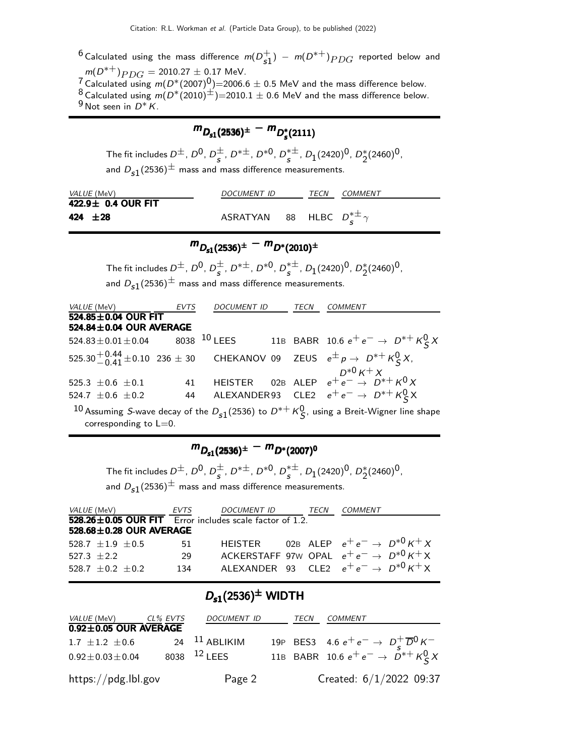<sup>6</sup> Calculated using the mass difference  $m(D_{c1}^+)$  $_{\mathfrak{s}1}^{+})$  –  $m(D^{*+})_{PDG}$  reported below and  $m(D^{*+})_{PDG} = 2010.27 \pm 0.17$  MeV.

 $7 \text{ Calculate using } m(D^*(2007)^{0}) = 2006.6 \pm 0.5 \text{ MeV}$  and the mass difference below. 8 Calculated using  $m(D^*(2010)^{\pm})=2010.1 \pm 0.6$  MeV and the mass difference below.  $9$  Not seen in  $D^*$  K.

## $m_{D_{s1}(2536)^{\pm}} - m_{D_{s}^{*}(2111)}$

The fit includes  $D^{\pm}$ ,  $D^{0}$ ,  $D^{\pm}$  $\frac{\pm}{s}$ , D<sup>\* $\pm$ </sup>, D<sup>\*0</sup>, D<sup>\* $\pm$ </sup>  $_s^{*\pm}$ ,  $D_1(2420)^0$ ,  $D_2^*(2460)^0$ , and  $D_{s1}(2536)^{\pm}$  mass and mass difference measurements.

| <i>VALUE</i> (MeV) | DOCUMENT ID                                     | TFCN | <i>COMMENT</i> |
|--------------------|-------------------------------------------------|------|----------------|
| 422.9± 0.4 OUR FIT |                                                 |      |                |
| 424 $\pm 28$       | ASRATYAN 88 HLBC $D_{\mathbf{s}}^{*\pm} \gamma$ |      |                |

## $m_{D_{s1}(2536)^{\pm}} - m_{D^*(2010)^{\pm}}$

 $m_{D_{s1}(2536)^{\pm}} - m_{D^{*}(2010)}$ <br>The fit includes  $D^{\pm}$ ,  $D^{0}$ ,  $D^{\pm}_{c}$ ,  $D^{*\pm}$ ,  $D^{*0}$ ,  $D^{*\pm}_{c}$ ,  $D^{*0}$  $\frac{\pm}{s}$ , D<sup>\* $\pm$ </sup>, D<sup>\*0</sup>, D<sup>\* $\pm$ </sup>  $_s^{*\pm}$ ,  $D_1(2420)^0$ ,  $D_2^*(2460)^0$ ,

and  $D_{s1}(2536)^{\pm}$  mass and mass difference measurements.

| VALUE (MeV) EVTS                                   |    | <i>DOCUMENT ID</i> | <b>TECN</b> | <b>COMMENT</b>                                                                                     |
|----------------------------------------------------|----|--------------------|-------------|----------------------------------------------------------------------------------------------------|
| $524.85 \pm 0.04$ OUR FIT                          |    |                    |             |                                                                                                    |
| 524.84±0.04 OUR AVERAGE                            |    |                    |             |                                                                                                    |
| $524.83 \pm 0.01 \pm 0.04$ 8038 <sup>10</sup> LEES |    |                    |             | 11B BABR 10.6 $e^+e^- \to D^{*+}K^0_S X$                                                           |
|                                                    |    |                    |             | 525.30 <sup>+</sup> 0.44 ± 0.10 236 ± 30 CHEKANOV 09 ZEUS $e^{\pm} p \rightarrow D^{*+} K^0_S X$ , |
| 525.3 $\pm$ 0.6 $\pm$ 0.1                          | 41 |                    |             | HEISTER 02B ALEP $e^+e^- \rightarrow D^{*0}K^+X$                                                   |
| 524.7 $\pm$ 0.6 $\pm$ 0.2                          |    |                    |             | 44 ALEXANDER93 CLE2 $e^+e^- \rightarrow D^{*+}K^0_S$ X                                             |
|                                                    |    |                    |             |                                                                                                    |

10 Assuming S-wave decay of the  $D_{s1}(2536)$  to  $D^{*+}K^0_S$ , using a Breit-Wigner line shape corresponding to  $L=0$ .

### $m_{D_{s1}(2536)^{\pm}} - m_{D^*(2007)^{0}}$

The fit includes  $D^{\pm}$ ,  $D^{0}$ ,  $D^{\pm}$  $\frac{\pm}{s}$ , D<sup>\* $\pm$ </sup>, D<sup>\*0</sup>, D<sup>\* $\pm$ </sup>  $_s^{*\pm}$ ,  $D_1(2420)^0$ ,  $D_2^*(2460)^0$ , and  $D_{s1}(2536)^{\pm}$  mass and mass difference measurements.

| <i>VALUE</i> (MeV)            | EVTS | DOCUMENT ID                                                   | TECN | COMMENT                                             |
|-------------------------------|------|---------------------------------------------------------------|------|-----------------------------------------------------|
|                               |      | 528.26 $\pm$ 0.05 OUR FIT Error includes scale factor of 1.2. |      |                                                     |
| $528.68 \pm 0.28$ OUR AVERAGE |      |                                                               |      |                                                     |
| $528.7 + 1.9 + 0.5$           | -51. |                                                               |      | HEISTER 02B ALEP $e^+e^- \rightarrow D^{*0}K^+X$    |
| $527.3 + 2.2$                 | 29   |                                                               |      | ACKERSTAFF 97W OPAL $e^+e^- \rightarrow D^{*0}K^+X$ |
| $528.7 + 0.2 + 0.2$           | 134  |                                                               |      | ALEXANDER 93 CLE2 $e^+e^- \rightarrow D^{*0}K^+X$   |

#### $D_{s1}(2536)^{\pm}$  WIDTH

| <i>VALUE</i> (MeV)          | CL% EVTS | DOCUMENT ID             | TECN | COMMENT                                                           |
|-----------------------------|----------|-------------------------|------|-------------------------------------------------------------------|
| $0.92 \pm 0.05$ OUR AVERAGE |          |                         |      |                                                                   |
| 1.7 $\pm$ 1.2 $\pm$ 0.6     |          | 24 $11$ ABLIKIM         |      | 19P BES3 4.6 $e^+e^- \to D_s^+ \overline{D}^0 K^-$                |
| $0.92 \pm 0.03 \pm 0.04$    |          | 8038 <sup>12</sup> LEES |      | 11B BABR 10.6 $e^+e^- \rightarrow \overrightarrow{D}^* + K^0_S X$ |
| https://pdg.lbl.gov         |          | Page 2                  |      | Created: 6/1/2022 09:37                                           |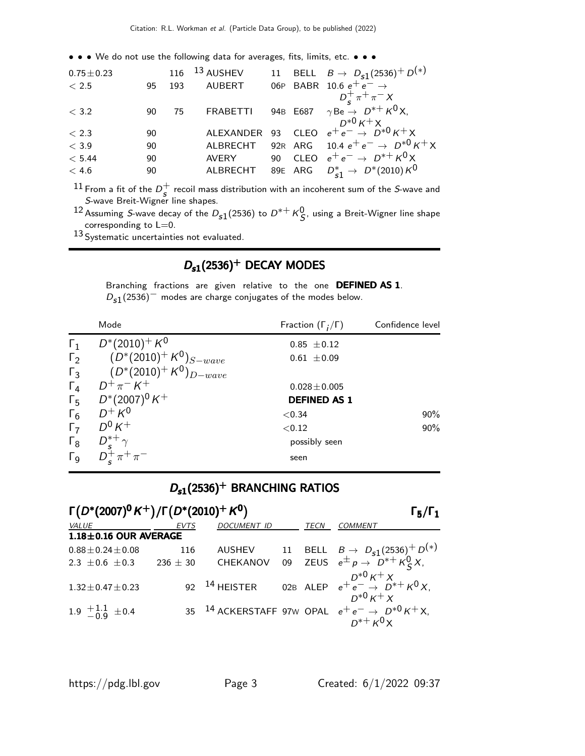• • • We do not use the following data for averages, fits, limits, etc. • • •

| $0.75 \pm 0.23$ |    |     | 116 $13$ AUSHEV |  | 11 BELL $B \to D_{s1}(2536)^+ D^{(*)}$                               |
|-----------------|----|-----|-----------------|--|----------------------------------------------------------------------|
| < 2.5           | 95 | 193 | <b>AUBERT</b>   |  | 06P BABR 10.6 $e^+e^- \rightarrow$                                   |
|                 |    |     |                 |  | $D_{\rm s}^{+} \pi^{+} \pi^{-} X$                                    |
| < 3.2           | 90 | 75  | <b>FRABETTI</b> |  | 94B E687 $\gamma$ Be $\rightarrow$ D <sup>*+</sup> K <sup>0</sup> X, |
|                 |    |     |                 |  |                                                                      |
| < 2.3           | 90 |     |                 |  | ALEXANDER 93 CLEO $e^+e^- \rightarrow D^{*0}K^+X$                    |
| $<$ 3.9         | 90 |     | ALBRECHT        |  | 92R ARG 10.4 $e^+e^- \rightarrow D^{*0}\,K^+X$                       |
| < 5.44          | 90 |     | <b>AVERY</b>    |  | 90 CLEO $e^+e^- \rightarrow D^{*+}K^0X$                              |
| $<$ 4.6         | 90 |     | ALBRECHT        |  | 89E ARG $D_{c1}^* \rightarrow D^*(2010) K^0$                         |
|                 |    |     |                 |  |                                                                      |

 $^{11}$  From a fit of the  $D_{\rm c}^+$  $^+_s$  recoil mass distribution with an incoherent sum of the S-wave and<br>s S-wave Breit-Wigner line shapes.

12 Assuming S-wave decay of the  $D_{s1}(2536)$  to  $D^{*+}K^0_S$ , using a Breit-Wigner line shape corresponding to  $L=0$ .

13 Systematic uncertainties not evaluated.

#### $D_{s1}(2536)^+$  DECAY MODES

Branching fractions are given relative to the one DEFINED AS 1.  $D_{s1}(2536)^-$  modes are charge conjugates of the modes below.

|                       | Mode                         | Fraction $(\Gamma_i/\Gamma)$ | Confidence level |
|-----------------------|------------------------------|------------------------------|------------------|
| $\Gamma_1$            | $D^*(2010)^+ K^0$            | $0.85 \pm 0.12$              |                  |
| $\Gamma_2$            | $(D^*(2010)^+ K^0)_{S-wave}$ | $0.61 \pm 0.09$              |                  |
| $\Gamma_3$            | $(D^*(2010)^+ K^0)_{D-wave}$ |                              |                  |
| $\Gamma_4$            | $D^+\pi^- K^+$               | $0.028 \pm 0.005$            |                  |
| $\Gamma_5$            | $D^*(2007)^0 K^+$            | <b>DEFINED AS 1</b>          |                  |
| $\Gamma_6$            | $D^+ K^0$                    | < 0.34                       | $90\%$           |
| $\Gamma_7$            | $D^0 K^+$                    | < 0.12                       | 90%              |
| $\Gamma_8$            | $D_s^{*+}\gamma$             | possibly seen                |                  |
| $\Gamma$ <sub>9</sub> |                              | seen                         |                  |

### $D_{s1}(2536)^+$  BRANCHING RATIOS

| $\Gamma(D^*(2007)^0 K^+)/\Gamma(D^*(2010)^+ K^0)$ |              | $\Gamma_5/\Gamma_1$      |  |      |                                                                                          |
|---------------------------------------------------|--------------|--------------------------|--|------|------------------------------------------------------------------------------------------|
| <b>VALUE</b>                                      | <b>EVTS</b>  | <b>DOCUMENT ID</b>       |  | TECN | <b>COMMENT</b>                                                                           |
| $1.18 \pm 0.16$ OUR AVERAGE                       |              |                          |  |      |                                                                                          |
| $0.88 \pm 0.24 \pm 0.08$                          | 116          | AUSHEV                   |  |      | 11 BELL $B \to D_{s1}(2536)^+ D^{(*)}$<br>09 ZEUS $e^{\pm} p \to D^{*+} K^0_S X$ ,       |
| 2.3 $\pm$ 0.6 $\pm$ 0.3                           | $236 \pm 30$ | CHEKANOV                 |  |      |                                                                                          |
| $1.32 \pm 0.47 \pm 0.23$                          |              | 92 <sup>14</sup> HEISTER |  |      | 02B ALEP $e^{+}e^{-} \rightarrow D^{*+}K^{0}X$ ,<br>$D^{*0} K^+ X$                       |
| 1.9 $\pm 1.1$ $\pm 0.4$                           |              |                          |  |      | 35 <sup>14</sup> ACKERSTAFF 97w OPAL $e^+e^- \rightarrow D^{*0}K^+X$ ,<br>$n*+ \kappa 0$ |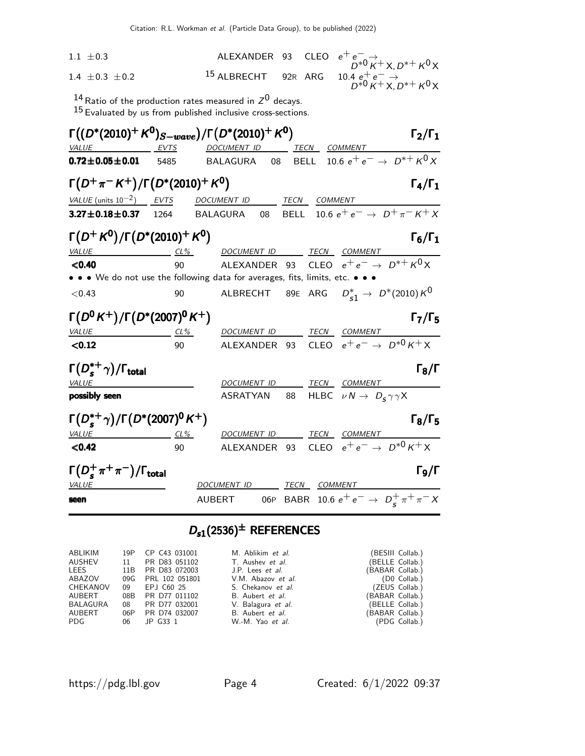| $1.1 \pm 0.3$                                                                         |                  | ALEXANDER 93 CLEO                                               |             |         | $e^+e^ \rightarrow$<br>$D^{*0}$ $K^+$ $\times$ , $D^{*+}$ $K^0$ $\times$ |                     |
|---------------------------------------------------------------------------------------|------------------|-----------------------------------------------------------------|-------------|---------|--------------------------------------------------------------------------|---------------------|
| 1.4 $\pm$ 0.3 $\pm$ 0.2                                                               |                  | <sup>15</sup> ALBRECHT 92R ARG                                  |             |         |                                                                          |                     |
|                                                                                       |                  |                                                                 |             |         | 10.4 $e^+e^ \rightarrow$<br>$D^{*0}K^+X, D^{*+}K^0X$                     |                     |
|                                                                                       |                  | $^{14}$ Ratio of the production rates measured in $Z^0$ decays. |             |         |                                                                          |                     |
|                                                                                       |                  | $15$ Evaluated by us from published inclusive cross-sections.   |             |         |                                                                          |                     |
| $\Gamma((D^*(2010)^+K^0)_{S-wave})/\Gamma(D^*(2010)^+K^0)$                            |                  |                                                                 |             |         |                                                                          | $\Gamma_2/\Gamma_1$ |
| <b>VALUE</b>                                                                          | EVTS             | DOCUMENT ID TECN COMMENT                                        |             |         |                                                                          |                     |
| $0.72 \pm 0.05 \pm 0.01$                                                              | 5485             | BALAGURA 08 BELL 10.6 $e^+e^- \rightarrow D^{*+}K^0X$           |             |         |                                                                          |                     |
| $\Gamma(D^+\pi^-K^+)/\Gamma(D^*(2010)^+K^0)$                                          |                  |                                                                 |             |         |                                                                          | $\Gamma_4/\Gamma_1$ |
| $VALUE$ (units $10^{-2}$ ) EVTS                                                       |                  | DOCUMENT ID                                                     | <b>TECN</b> | COMMENT |                                                                          |                     |
| $3.27 \pm 0.18 \pm 0.37$                                                              | 1264             | BALAGURA<br>08                                                  | <b>BELL</b> |         | 10.6 $e^+e^ \rightarrow$ $D^+\pi^-K^+X$                                  |                     |
| $\Gamma(D^+ K^0)/\Gamma(D^*(2010)^+ K^0)$                                             |                  |                                                                 |             |         |                                                                          |                     |
|                                                                                       |                  |                                                                 |             |         |                                                                          | $\Gamma_6/\Gamma_1$ |
| <i>VALUE</i>                                                                          | $CL\%$<br>90     | DOCUMENT ID TECN COMMENT                                        |             |         | CLEO $e^+e^- \rightarrow D^{*+}K^0X$                                     |                     |
| < 0.40<br>• • • We do not use the following data for averages, fits, limits, etc. • • |                  | ALEXANDER 93                                                    |             |         |                                                                          |                     |
| < 0.43                                                                                | 90               | ALBRECHT                                                        |             |         | 89E ARG $D_{s1}^* \to D^*(2010)K^0$                                      |                     |
|                                                                                       |                  |                                                                 |             |         |                                                                          |                     |
| $\Gamma(D^0 K^+)/\Gamma(D^*(2007)^0 K^+)$                                             |                  |                                                                 |             |         |                                                                          | $\Gamma_7/\Gamma_5$ |
| <b>VALUE</b>                                                                          | $CL\%$           | DOCUMENT ID                                                     |             |         | TECN COMMENT                                                             |                     |
| < 0.12                                                                                | 90               | ALEXANDER                                                       | 93          |         | CLEO $e^+e^- \rightarrow D^{*0}K^+X$                                     |                     |
| $\Gamma(D_s^{*+}\gamma)/\Gamma_{\rm total}$                                           |                  |                                                                 |             |         |                                                                          | $\Gamma_8/\Gamma$   |
| <i>VALUE</i>                                                                          |                  | DOCUMENT ID                                                     |             |         | TECN COMMENT                                                             |                     |
| possibly seen                                                                         |                  | <b>ASRATYAN</b>                                                 | 88          |         | HLBC $\nu N \rightarrow D_s \gamma \gamma X$                             |                     |
| $\Gamma(D_s^{*+}\gamma)/\Gamma(D^*(2007)^0K^+)$                                       |                  |                                                                 |             |         |                                                                          | $\Gamma_8/\Gamma_5$ |
| VALUE                                                                                 |                  | DOCUMENT ID                                                     |             |         | TECN COMMENT                                                             |                     |
| < 0.42                                                                                | <u>CL%</u><br>90 | <b>ALEXANDER</b>                                                | 93          |         | CLEO $e^+e^- \rightarrow D^{*0}K^+X$                                     |                     |
|                                                                                       |                  |                                                                 |             |         |                                                                          |                     |
| $\Gamma(D_s^+\pi^+\pi^-)/\Gamma_{\rm total}$                                          |                  |                                                                 |             |         |                                                                          | $\Gamma_9/\Gamma$   |
| <i>VALUE</i>                                                                          |                  | DOCUMENT ID                                                     | TECN        |         | <i>COMMENT</i>                                                           |                     |
| seen                                                                                  |                  | AUBERT                                                          |             |         | 06P BABR 10.6 $e^+e^- \rightarrow D_s^+\pi^+\pi^-X$                      |                     |

# $D_{s1}(2536)^{\pm}$  REFERENCES

| ABLIKIM  |    | 19P CP C43 031001  | M. Ablikim et al.       |                 | (BESIII Collab.) |
|----------|----|--------------------|-------------------------|-----------------|------------------|
| AUSHEV   | 11 | PR D83 051102      | T. Aushev et al.        |                 | (BELLE Collab.)  |
| LEES     |    | 11B PR D83 072003  | J.P. Lees <i>et al.</i> | (BABAR Collab.) |                  |
| ABAZOV   |    | 09G PRL 102 051801 | V.M. Abazov et al.      |                 | (D0 Collab.)     |
| CHEKANOV | 09 | EPJ C60 25         | S. Chekanov et al.      |                 | (ZEUS Collab.)   |
| AUBERT   |    | 08B PR D77 011102  | B. Aubert et al.        | (BABAR Collab.) |                  |
| BALAGURA | 08 | PR D77 032001      | V. Balagura et al.      |                 | (BELLE Collab.)  |
| AUBERT   |    | 06P PR D74 032007  | B. Aubert et al.        | (BABAR Collab.) |                  |
| PDG      |    | 06 JP G33 1        | W.-M. Yao et al.        |                 | (PDG Collab.)    |